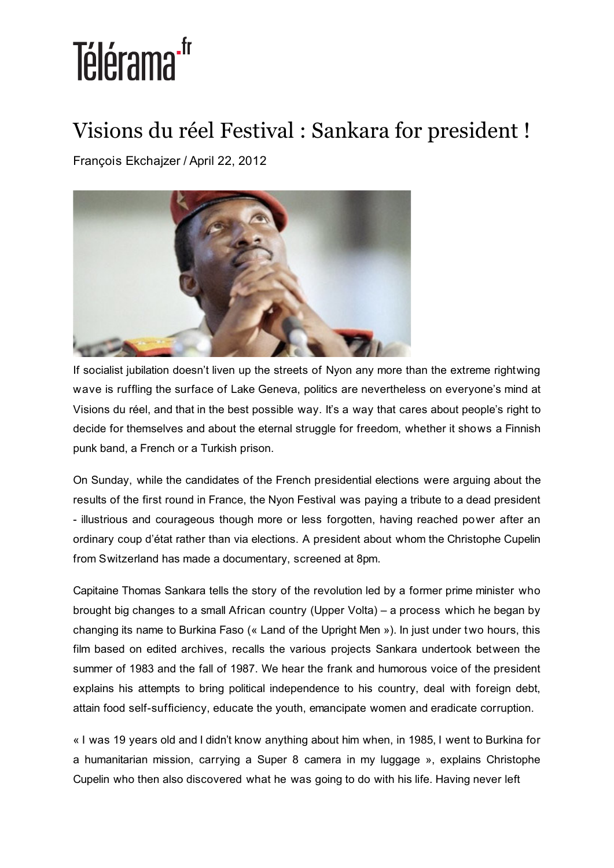## Télérama<sup>-fr</sup>

## Visions du réel Festival : Sankara for president !

François Ekchajzer / April 22, 2012



If socialist jubilation doesn't liven up the streets of Nyon any more than the extreme rightwing wave is ruffling the surface of Lake Geneva, politics are nevertheless on everyone's mind at Visions du réel, and that in the best possible way. It's a way that cares about people's right to decide for themselves and about the eternal struggle for freedom, whether it shows a Finnish punk band, a French or a Turkish prison.

On Sunday, while the candidates of the French presidential elections were arguing about the results of the first round in France, the Nyon Festival was paying a tribute to a dead president - illustrious and courageous though more or less forgotten, having reached power after an ordinary coup d'état rather than via elections. A president about whom the Christophe Cupelin from Switzerland has made a documentary, screened at 8pm.

Capitaine Thomas Sankara tells the story of the revolution led by a former prime minister who brought big changes to a small African country (Upper Volta) – a process which he began by changing its name to Burkina Faso (« Land of the Upright Men »). In just under two hours, this film based on edited archives, recalls the various projects Sankara undertook between the summer of 1983 and the fall of 1987. We hear the frank and humorous voice of the president explains his attempts to bring political independence to his country, deal with foreign debt, attain food self-sufficiency, educate the youth, emancipate women and eradicate corruption.

« I was 19 years old and I didn't know anything about him when, in 1985, I went to Burkina for a humanitarian mission, carrying a Super 8 camera in my luggage », explains Christophe Cupelin who then also discovered what he was going to do with his life. Having never left